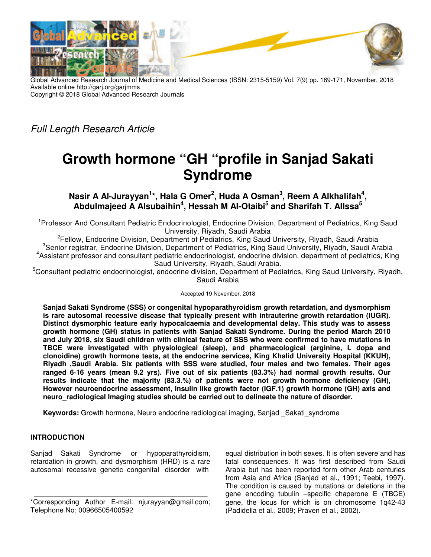

Global Advanced Research Journal of Medicine and Medical Sciences (ISSN: 2315-5159) Vol. 7(9) pp. 169-171, November, 2018 Available online http://garj.org/garjmms Copyright © 2018 Global Advanced Research Journals

Full Length Research Article

# **Growth hormone "GH "profile in Sanjad Sakati Syndrome**

**Nasir A Al--‐Jurayyan<sup>1</sup> \*, Hala G Omer<sup>2</sup> , Huda A Osman<sup>3</sup> , Reem A Alkhalifah<sup>4</sup> , Abdulmajeed A Alsubaihin<sup>4</sup> , Hessah M Al-Otaibi<sup>5</sup> and Sharifah T. AlIssa<sup>5</sup>**

<sup>1</sup>Professor And Consultant Pediatric Endocrinologist, Endocrine Division, Department of Pediatrics, King Saud University, Riyadh, Saudi Arabia

<sup>2</sup>Fellow, Endocrine Division, Department of Pediatrics, King Saud University, Riyadh, Saudi Arabia <sup>3</sup>Senior registrar, Endocrine Division, Department of Pediatrics, King Saud University, Riyadh, Saudi Arabia 4 Assistant professor and consultant pediatric endocrinologist, endocrine division, department of pediatrics, King Saud University, Riyadh, Saudi Arabia.

<sup>5</sup>Consultant pediatric endocrinologist, endocrine division, Department of Pediatrics, King Saud University, Riyadh, Saudi Arabia

Accepted 19 November, 2018

**Sanjad Sakati Syndrome (SSS) or congenital hypoparathyroidism growth retardation, and dysmorphism is rare autosomal recessive disease that typically present with intrauterine growth retardation (IUGR). Distinct dysmorphic feature early hypocalcaemia and developmental delay. This study was to assess growth hormone (GH) status in patients with Sanjad Sakati Syndrome. During the period March 2010 and July 2018, six Saudi children with clinical feature of SSS who were confirmed to have mutations in TBCE were investigated with physiological (sleep), and pharmacological (arginine, L dopa and clonoidine) growth hormone tests, at the endocrine services, King Khalid University Hospital (KKUH), Riyadh ,Saudi Arabia. Six patients with SSS were studied, four males and two females. Their ages**  ranged 6-16 years (mean 9.2 yrs). Five out of six patients (83.3%) had normal growth results. Our **results indicate that the majority (83.3.%) of patients were not growth hormone deficiency (GH), However neuroendocrine assessment, Insulin like growth factor (IGF.1) growth hormone (GH) axis and neuro\_radiological Imaging studies should be carried out to delineate the nature of disorder.** 

**Keywords:** Growth hormone, Neuro endocrine radiological imaging, Sanjad Sakati syndrome

## **INTRODUCTION**

Sanjad Sakati Syndrome or hypoparathyroidism, retardation in growth, and dysmorphism (HRD) is a rare autosomal recessive genetic congenital disorder with

equal distribution in both sexes. It is often severe and has fatal consequences. It was first described from Saudi Arabia but has been reported form other Arab centuries from Asia and Africa (Sanjad et al., 1991; Teebi, 1997). The condition is caused by mutations or deletions in the gene encoding tubulin –specific chaperone E (TBCE) gene, the locus for which is on chromosome 1q42-43 (Padidelia et al., 2009; Praven et al., 2002).

<sup>\*</sup>Corresponding Author E-mail: njurayyan@gmail.com; Telephone No: 00966505400592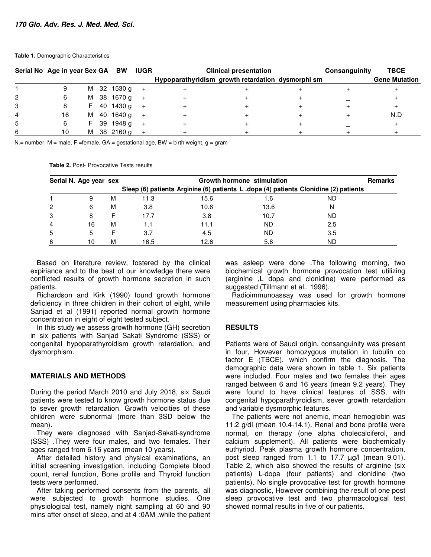#### **Table 1.** Demographic Characteristics

|   | Serial No Age in year Sex GA BW IUGR |   |  |               |     | <b>Clinical presentation</b>                      |  |  | Consanguinity | <b>TBCE</b>          |
|---|--------------------------------------|---|--|---------------|-----|---------------------------------------------------|--|--|---------------|----------------------|
|   |                                      |   |  |               |     | Hypoparathyridism growth retardation dysmorphi sm |  |  |               | <b>Gene Mutation</b> |
|   |                                      |   |  | M 32 1530 g   | $+$ |                                                   |  |  |               |                      |
| 2 |                                      |   |  | M 38 1670 g   | $+$ |                                                   |  |  |               |                      |
| 3 |                                      |   |  | F 40 1430 g   | $+$ |                                                   |  |  |               |                      |
| 4 | 16                                   |   |  | M 40 1640 g + |     |                                                   |  |  |               | N.D                  |
| 5 |                                      |   |  | F 39 1948 g   | $+$ |                                                   |  |  |               |                      |
|   |                                      | м |  | 38 2160 g     |     |                                                   |  |  |               |                      |

N.= number, M = male, F = female,  $GA$  = gestational age, BW = birth weight, g = gram

**Table 2.** Post-- Provocative Tests results

|   | Serial N. Age year sex |   | Growth hormone stimulation                                                           |      |      |     |  |  |  |
|---|------------------------|---|--------------------------------------------------------------------------------------|------|------|-----|--|--|--|
|   |                        |   | Sleep (6) patients Arginine (6) patients L .dopa (4) patients Clonidine (2) patients |      |      |     |  |  |  |
|   |                        | M | 11.3                                                                                 | 15.6 | 1.6  | ND  |  |  |  |
| 2 | 6                      | M | 3.8                                                                                  | 10.6 | 13.6 | N   |  |  |  |
| 3 |                        |   | 17.7                                                                                 | 3.8  | 10.7 | ND  |  |  |  |
| 4 | 16                     | M | 1.1                                                                                  | 11.1 | ND   | 2.5 |  |  |  |
| 5 |                        |   | 3.7                                                                                  | 4.5  | ND   | 3.5 |  |  |  |
| 6 | 10                     | м | 16.5                                                                                 | 12.6 | 5.6  | ND  |  |  |  |

Based on literature review, fostered by the clinical expiriance and to the best of our knowledge there were conflicted results of growth hormone secretion in such patients.

Richardson and Kirk (1990) found growth hormone deficiency in three children in their cohort of eight, while Sanjad et al (1991) reported normal growth hormone concentration in eight of eight tested subject.

In this study we assess growth hormone (GH) secretion in six patients with Sanjad Sakati Syndrome (SSS) or congenital hypoparathyroidism growth retardation, and dysmorphism.

## **MATERIALS AND METHODS**

During the period March 2010 and July 2018, six Saudi patients were tested to know growth hormone status due to sever growth retardation. Growth velocities of these children were subnormal (more than 3SD below the mean).

They were diagnosed with Sanjad-Sakati-syndrome (SSS) .They were four males, and two females. Their ages ranged from 6-16 years (mean 10 years).

After detailed history and physical examinations, an initial screening investigation, including Complete blood count, renal function, Bone profile and Thyroid function tests were performed.

After taking performed consents from the parents, all were subjected to growth hormone studies. One physiological test, namely night sampling at 60 and 90 mins after onset of sleep, and at 4 :0AM .while the patient

was asleep were done .The following morning, two biochemical growth hormone provocation test utilizing (arginine ,L dopa and clonidine) were performed as suggested (Tillmann et al., 1996).

Radioimmunoassay was used for growth hormone measurement using pharmacies kits.

#### **RESULTS**

Patients were of Saudi origin, consanguinity was present in four, However homozygous mutation in tubulin co factor E (TBCE), which confirm the diagnosis. The demographic data were shown in table 1. Six patients were included. Four males and two females their ages ranged between 6 and 16 years (mean 9.2 years). They were found to have clinical features of SSS, with congenital hypoparathyroidism, sever growth retardation and variable dysmorphic features.

The patients were not anemic, mean hemoglobin was 11.2  $g/dl$  (mean 10.4-14.1). Renal and bone profile were normal, on therapy (one alpha cholecalciferol, and calcium supplement). All patients were biochemically euthyriod. Peak plasma growth hormone concentration, post sleep ranged from 1.1 to 17.7 µg/l (mean 9.01). Table 2, which also showed the results of arginine (six patients) L-dopa (four patients) and clonidine (two patients). No single provocative test for growth hormone was diagnostic, However combining the result of one post sleep provocative test and two pharmacological test showed normal results in five of our patients.